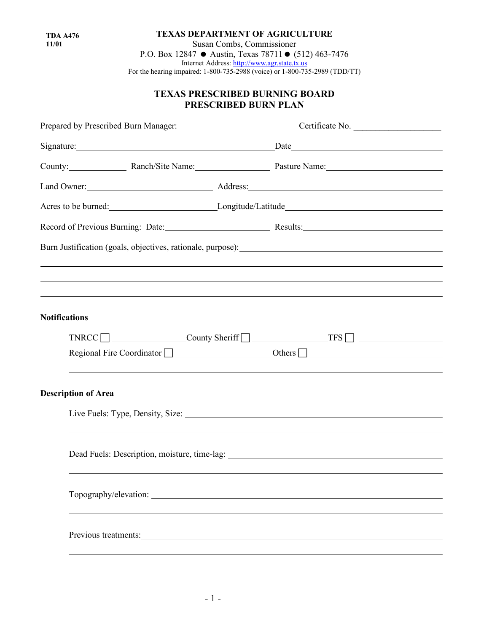**TDA A476 11/01**

**TEXAS DEPARTMENT OF AGRICULTURE** Susan Combs, Commissioner P.O. Box 12847  $\bullet$  Austin, Texas 78711 $\bullet$  (512) 463-7476 Internet Address: [http://www.agr.state.tx.us](http://www.agr.state.tx.us/) For the hearing impaired: 1-800-735-2988 (voice) or 1-800-735-2989 (TDD/TT)

## **TEXAS PRESCRIBED BURNING BOARD PRESCRIBED BURN PLAN**

|                            | Prepared by Prescribed Burn Manager: Certificate No. ____________________________                                                                                                                                              |  |  |
|----------------------------|--------------------------------------------------------------------------------------------------------------------------------------------------------------------------------------------------------------------------------|--|--|
|                            | Signature: Date Date Date Date                                                                                                                                                                                                 |  |  |
|                            | County: Ranch/Site Name: Pasture Name: Pasture Name:                                                                                                                                                                           |  |  |
|                            | Land Owner: <u>New Alexander Andress:</u> Address: New York 2014 19:00 Address: New York 2014                                                                                                                                  |  |  |
|                            | Acres to be burned: Longitude/Latitude Latitude Latitude Latitude Latitude CLACITY CONSERVANCE DETAILS                                                                                                                         |  |  |
|                            | Record of Previous Burning: Date: Material Results: Results: Results:                                                                                                                                                          |  |  |
|                            |                                                                                                                                                                                                                                |  |  |
|                            |                                                                                                                                                                                                                                |  |  |
|                            |                                                                                                                                                                                                                                |  |  |
| <b>Notifications</b>       |                                                                                                                                                                                                                                |  |  |
|                            |                                                                                                                                                                                                                                |  |  |
|                            |                                                                                                                                                                                                                                |  |  |
|                            | ,我们也不会有什么。""我们的人,我们也不会有什么?""我们的人,我们也不会有什么?""我们的人,我们也不会有什么?""我们的人,我们也不会有什么?""我们的人                                                                                                                                               |  |  |
| <b>Description of Area</b> |                                                                                                                                                                                                                                |  |  |
|                            | Live Fuels: Type, Density, Size: 1988. [19] Manual Assembly Press, 2014. [19] Manual Assembly Press, 2014. [19] Manual Assembly Press, 2014. [19] Manual Assembly Press, 2014. [19] Manual Assembly Press, 2014. [19] Manual A |  |  |
|                            |                                                                                                                                                                                                                                |  |  |
|                            |                                                                                                                                                                                                                                |  |  |
|                            |                                                                                                                                                                                                                                |  |  |
|                            |                                                                                                                                                                                                                                |  |  |
|                            |                                                                                                                                                                                                                                |  |  |
|                            |                                                                                                                                                                                                                                |  |  |
|                            |                                                                                                                                                                                                                                |  |  |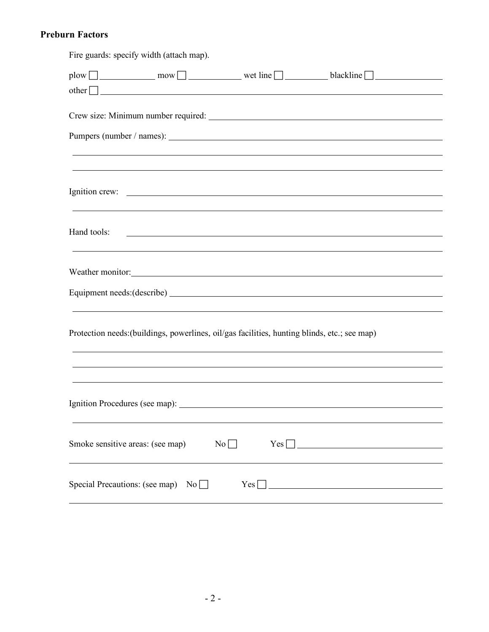## **Preburn Factors**

| Fire guards: specify width (attach map).                                                                                             |
|--------------------------------------------------------------------------------------------------------------------------------------|
| plow $\Box$ mow mow wet line $\Box$ blackline $\Box$                                                                                 |
| $other$ $\Box$                                                                                                                       |
|                                                                                                                                      |
|                                                                                                                                      |
|                                                                                                                                      |
|                                                                                                                                      |
|                                                                                                                                      |
| ,我们也不会有什么。""我们的人,我们也不会有什么?""我们的人,我们也不会有什么?""我们的人,我们也不会有什么?""我们的人,我们也不会有什么?""我们的人                                                     |
|                                                                                                                                      |
|                                                                                                                                      |
|                                                                                                                                      |
| Hand tools:<br><u> 1999 - Johann Harry Harry Harry Harry Harry Harry Harry Harry Harry Harry Harry Harry Harry Harry Harry Harry</u> |
|                                                                                                                                      |
|                                                                                                                                      |
| Weather monitor: Next Research 2014 19:30 and 2015 19:30 and 2015 19:30 and 2016 19:30 and 2017 19:30 and 2017                       |
|                                                                                                                                      |
| ,我们也不会有什么。""我们的人,我们也不会有什么?""我们的人,我们也不会有什么?""我们的人,我们也不会有什么?""我们的人,我们也不会有什么?""我们的人                                                     |
|                                                                                                                                      |
| Protection needs: (buildings, powerlines, oil/gas facilities, hunting blinds, etc.; see map)                                         |
|                                                                                                                                      |
| ,我们也不会有什么。""我们的人,我们也不会有什么?""我们的人,我们也不会有什么?""我们的人,我们也不会有什么?""我们的人,我们也不会有什么?""我们的人                                                     |
|                                                                                                                                      |
|                                                                                                                                      |
|                                                                                                                                      |
|                                                                                                                                      |
| Smoke sensitive areas: (see map)<br>Yes                                                                                              |
| No                                                                                                                                   |
|                                                                                                                                      |
| Special Precautions: (see map)<br>No<br>Yes                                                                                          |
|                                                                                                                                      |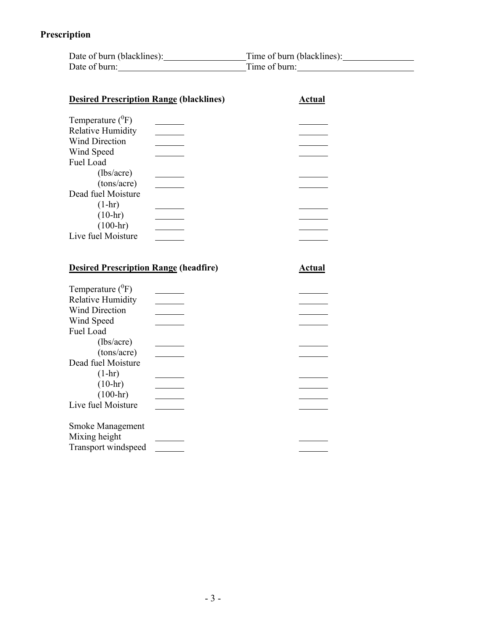# **Prescription**

| Date of burn (blacklines): | Time of burn (blacklines): |
|----------------------------|----------------------------|
| Date of burn:              | Time of burn:              |

| <b>Desired Prescription Range (blacklines)</b> | Actual        |
|------------------------------------------------|---------------|
| Temperature $(^0F)$                            |               |
| <b>Relative Humidity</b>                       |               |
| <b>Wind Direction</b>                          |               |
| Wind Speed                                     |               |
| Fuel Load                                      |               |
| (lbs/acre)                                     |               |
| (tons/acre)                                    |               |
| Dead fuel Moisture                             |               |
| $(1-hr)$                                       |               |
| $(10-hr)$                                      |               |
| $(100 - hr)$                                   |               |
| Live fuel Moisture                             |               |
|                                                |               |
|                                                |               |
| <b>Desired Prescription Range (headfire)</b>   | <u>Actual</u> |
|                                                |               |
| Temperature $(^0F)$                            |               |
| <b>Relative Humidity</b>                       |               |
| <b>Wind Direction</b>                          |               |
| Wind Speed                                     |               |
| $1 \tau$ 1<br>T.                               |               |

| <b>Wind Direction</b>   |  |
|-------------------------|--|
| Wind Speed              |  |
| Fuel Load               |  |
| (lbs/acre)              |  |
| (tons/acre)             |  |
| Dead fuel Moisture      |  |
| $(1-hr)$                |  |
| $(10-hr)$               |  |
| $(100 - hr)$            |  |
| Live fuel Moisture      |  |
| <b>Smoke Management</b> |  |
| Mixing height           |  |
| Transport windspeed     |  |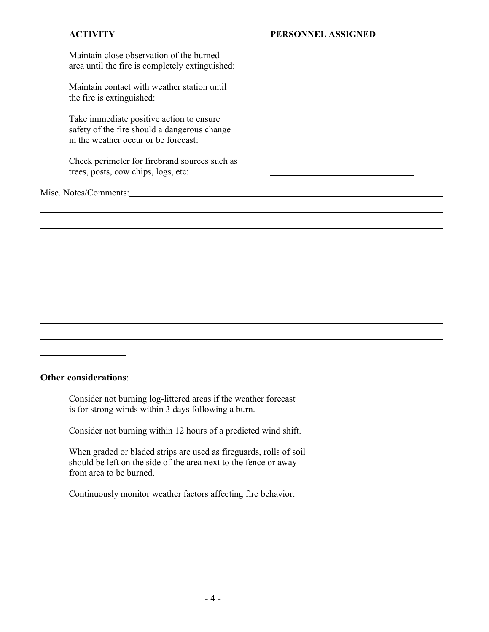| Maintain close observation of the burned<br>area until the fire is completely extinguished:                                      |  |
|----------------------------------------------------------------------------------------------------------------------------------|--|
| Maintain contact with weather station until<br>the fire is extinguished:                                                         |  |
| Take immediate positive action to ensure<br>safety of the fire should a dangerous change<br>in the weather occur or be forecast: |  |
| Check perimeter for firebrand sources such as<br>trees, posts, cow chips, logs, etc:                                             |  |
|                                                                                                                                  |  |
|                                                                                                                                  |  |
|                                                                                                                                  |  |
|                                                                                                                                  |  |
|                                                                                                                                  |  |
|                                                                                                                                  |  |
|                                                                                                                                  |  |
|                                                                                                                                  |  |
|                                                                                                                                  |  |
|                                                                                                                                  |  |
|                                                                                                                                  |  |

### **Other considerations**:

Consider not burning log-littered areas if the weather forecast is for strong winds within 3 days following a burn.

Consider not burning within 12 hours of a predicted wind shift.

When graded or bladed strips are used as fireguards, rolls of soil should be left on the side of the area next to the fence or away from area to be burned.

Continuously monitor weather factors affecting fire behavior.